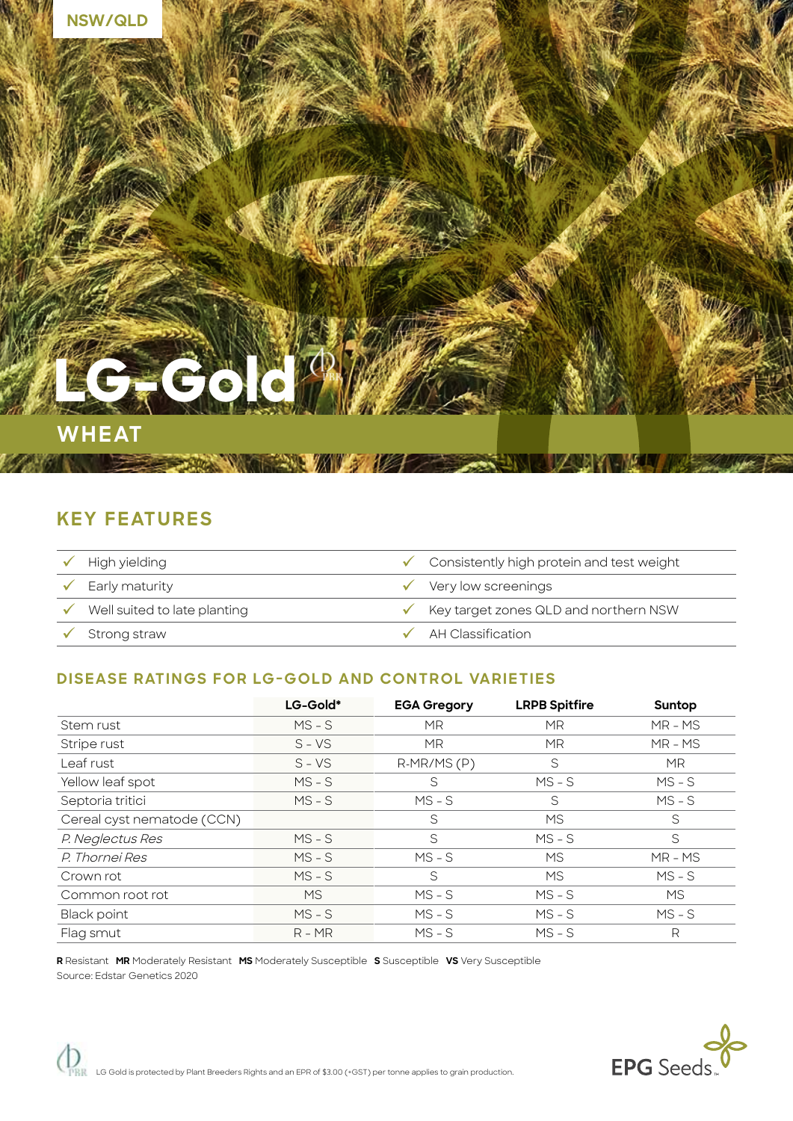

# **KEY FEATURES**

| High yielding                | $\checkmark$ Consistently high protein and test weight |
|------------------------------|--------------------------------------------------------|
| Early maturity               | $\checkmark$ Very low screenings                       |
| Well suited to late planting | $\checkmark$ Key target zones QLD and northern NSW     |
| $\checkmark$ Strong straw    | $\checkmark$ AH Classification                         |

### **DISEASE RATINGS FOR LG-GOLD AND CONTROL VARIETIES**

|                            | LG-Gold*   | <b>EGA Gregory</b> | <b>LRPB Spitfire</b> | Suntop    |
|----------------------------|------------|--------------------|----------------------|-----------|
| Stem rust                  | $MS - S$   | MR.                | МR                   | $MR - MS$ |
| Stripe rust                | $S$ – $VS$ | <b>MR</b>          | <b>MR</b>            | $MR - MS$ |
| Leaf rust                  | $S - VS$   | $R-MR/MS(P)$       | S                    | MR.       |
| Yellow leaf spot           | $MS - S$   | S                  | $MS - S$             | $MS-S$    |
| Septoria tritici           | $MS - S$   | $MS - S$           | S                    | $MS - S$  |
| Cereal cyst nematode (CCN) |            | S                  | <b>MS</b>            | S         |
| P. Neglectus Res           | $MS - S$   | S                  | $MS - S$             | S         |
| P. Thornei Res             | $MS - S$   | $MS - S$           | <b>MS</b>            | MR-MS     |
| Crown rot                  | $MS - S$   | S                  | <b>MS</b>            | $MS - S$  |
| Common root rot            | MS.        | $MS - S$           | $MS - S$             | MS.       |
| <b>Black point</b>         | $MS - S$   | $MS - S$           | $MS - S$             | $MS-S$    |
| Flag smut                  | $R - MR$   | $MS - S$           | $MS - S$             | R         |

**R** Resistant **MR** Moderately Resistant **MS** Moderately Susceptible **S** Susceptible **VS** Very Susceptible Source: Edstar Genetics 2020